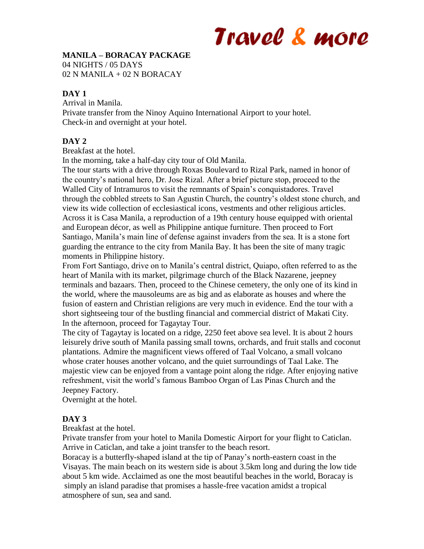# Travel & more

### **MANILA – BORACAY PACKAGE**

04 NIGHTS / 05 DAYS

02 N MANILA + 02 N BORACAY

#### **DAY 1**

Arrival in Manila. Private transfer from the Ninoy Aquino International Airport to your hotel. Check-in and overnight at your hotel.

### **DAY 2**

Breakfast at the hotel.

In the morning, take a half-day city tour of Old Manila.

The tour starts with a drive through Roxas Boulevard to Rizal Park, named in honor of the country's national hero, Dr. Jose Rizal. After a brief picture stop, proceed to the Walled City of Intramuros to visit the remnants of Spain's conquistadores. Travel through the cobbled streets to San Agustin Church, the country's oldest stone church, and view its wide collection of ecclesiastical icons, vestments and other religious articles. Across it is Casa Manila, a reproduction of a 19th century house equipped with oriental and European décor, as well as Philippine antique furniture. Then proceed to Fort Santiago, Manila's main line of defense against invaders from the sea. It is a stone fort guarding the entrance to the city from Manila Bay. It has been the site of many tragic moments in Philippine history.

From Fort Santiago, drive on to Manila's central district, Quiapo, often referred to as the heart of Manila with its market, pilgrimage church of the Black Nazarene, jeepney terminals and bazaars. Then, proceed to the Chinese cemetery, the only one of its kind in the world, where the mausoleums are as big and as elaborate as houses and where the fusion of eastern and Christian religions are very much in evidence. End the tour with a short sightseeing tour of the bustling financial and commercial district of Makati City. In the afternoon, proceed for Tagaytay Tour.

The city of Tagaytay is located on a ridge, 2250 feet above sea level. It is about 2 hours leisurely drive south of Manila passing small towns, orchards, and fruit stalls and coconut plantations. Admire the magnificent views offered of Taal Volcano, a small volcano whose crater houses another volcano, and the quiet surroundings of Taal Lake. The majestic view can be enjoyed from a vantage point along the ridge. After enjoying native refreshment, visit the world's famous Bamboo Organ of Las Pinas Church and the Jeepney Factory.

Overnight at the hotel.

#### **DAY 3**

Breakfast at the hotel.

Private transfer from your hotel to Manila Domestic Airport for your flight to Caticlan. Arrive in Caticlan, and take a joint transfer to the beach resort.

Boracay is a butterfly-shaped island at the tip of Panay's north-eastern coast in the Visayas. The main beach on its western side is about 3.5km long and during the low tide about 5 km wide. Acclaimed as one the most beautiful beaches in the world, Boracay is simply an island paradise that promises a hassle-free vacation amidst a tropical atmosphere of sun, sea and sand.